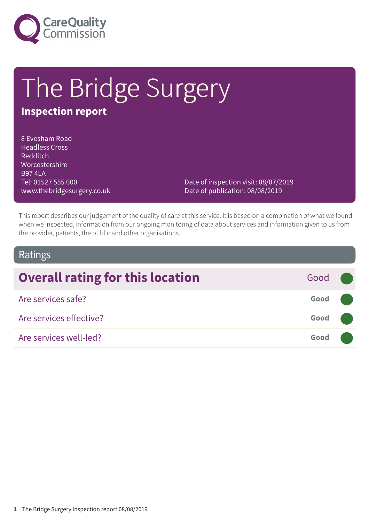

# The Bridge Surgery

# **Inspection report**

8 Evesham Road Headless Cross Redditch Worcestershire B97 4LA Tel: 01527 555 600 www.thebridgesurgery.co.uk

Date of inspection visit: 08/07/2019 Date of publication: 08/08/2019

This report describes our judgement of the quality of care at this service. It is based on a combination of what we found when we inspected, information from our ongoing monitoring of data about services and information given to us from the provider, patients, the public and other organisations.

### Ratings

| <b>Overall rating for this location</b> | Good ( |  |
|-----------------------------------------|--------|--|
| Are services safe?                      | Good   |  |
| Are services effective?                 | Good   |  |
| Are services well-led?                  | Good   |  |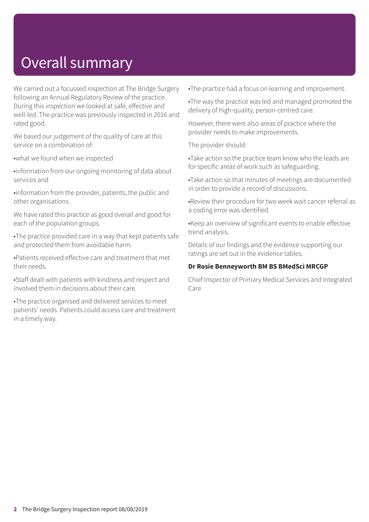# Overall summary

We carried out a focussed inspection at The Bridge Surgery following an Annual Regulatory Review of the practice. During this inspection we looked at safe, effective and well-led. The practice was previously inspected in 2016 and rated good.

We based our judgement of the quality of care at this service on a combination of:

•what we found when we inspected

•information from our ongoing monitoring of data about services and

•information from the provider, patients, the public and other organisations.

We have rated this practice as good overall and good for each of the population groups.

•The practice provided care in a way that kept patients safe and protected them from avoidable harm.

•Patients received effective care and treatment that met their needs.

•Staff dealt with patients with kindness and respect and involved them in decisions about their care.

•The practice organised and delivered services to meet patients' needs. Patients could access care and treatment in a timely way.

•The practice had a focus on learning and improvement.

•The way the practice was led and managed promoted the delivery of high-quality, person-centred care.

However, there were also areas of practice where the provider needs to make improvements.

The provider should:

•Take action so the practice team know who the leads are for specific areas of work such as safeguarding.

•Take action so that minutes of meetings are documented in order to provide a record of discussions.

•Review their procedure for two week wait cancer referral as a coding error was identified.

•Keep an overview of significant events to enable effective trend analysis.

Details of our findings and the evidence supporting our ratings are set out in the evidence tables.

#### **Dr Rosie Benneyworth BM BS BMedSci MRCGP**

Chief Inspector of Primary Medical Services and Integrated Care